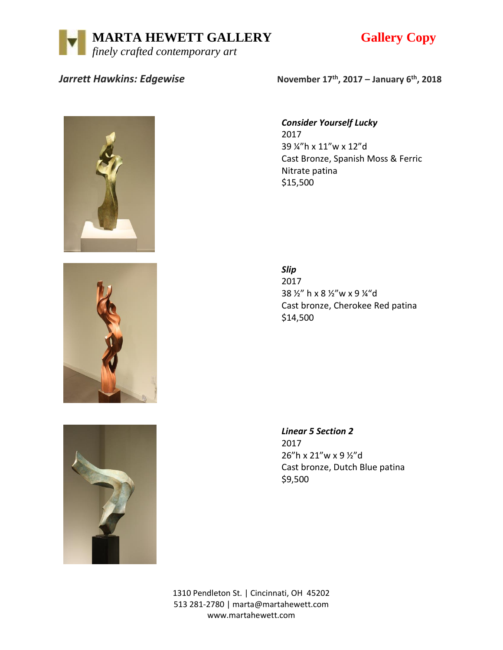



## *Jarrett Hawkins: Edgewise*





**, 2017 – January 6th, 2018**

## *Consider Yourself Lucky*

2017 39 ¼"h x 11"w x 12"d Cast Bronze, Spanish Moss & Ferric Nitrate patina \$15,500

*Slip* 2017 38 ½" h x 8 ½"w x 9 ¼"d Cast bronze, Cherokee Red patina \$14,500

*Linear 5 Section 2* 2017 26"h x 21"w x 9 ½"d Cast bronze, Dutch Blue patina \$9,500

1310 Pendleton St. | Cincinnati, OH 45202 513 281-2780 | marta@martahewett.com www.martahewett.com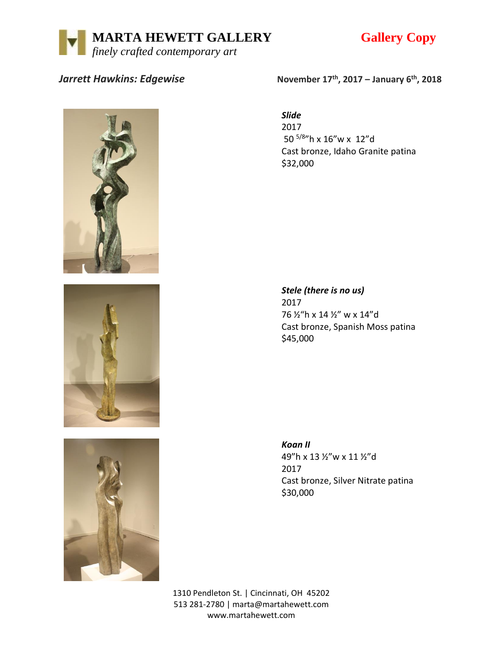



## *Jarrett Hawkins: Edgewise*





**, 2017 – January 6th, 2018**

*Slide*

2017 50 5/8"h x 16"w x 12"d Cast bronze, Idaho Granite patina \$32,000

*Stele (there is no us)* 2017 76 ½"h x 14 ½" w x 14"d Cast bronze, Spanish Moss patina \$45,000

*Koan II* 49"h x 13 ½"w x 11 ½"d 2017 Cast bronze, Silver Nitrate patina \$30,000

1310 Pendleton St. | Cincinnati, OH 45202 513 281-2780 | marta@martahewett.com www.martahewett.com